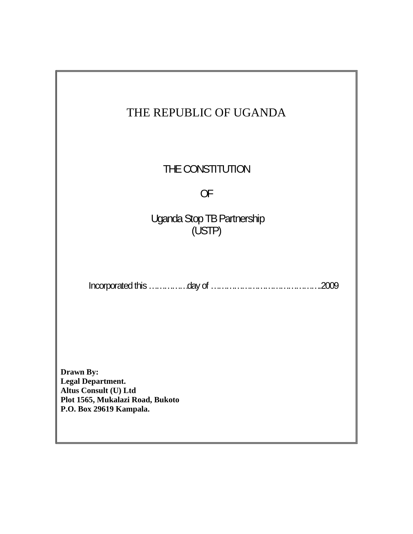| THE REPUBLIC OF UGANDA                                                                                                               |
|--------------------------------------------------------------------------------------------------------------------------------------|
| THE CONSTITUTION                                                                                                                     |
| <b>OF</b>                                                                                                                            |
| Uganda Stop TB Partnership<br>(USTP)                                                                                                 |
|                                                                                                                                      |
| <b>Drawn By:</b><br><b>Legal Department.</b><br>Altus Consult (U) Ltd<br>Plot 1565, Mukalazi Road, Bukoto<br>P.O. Box 29619 Kampala. |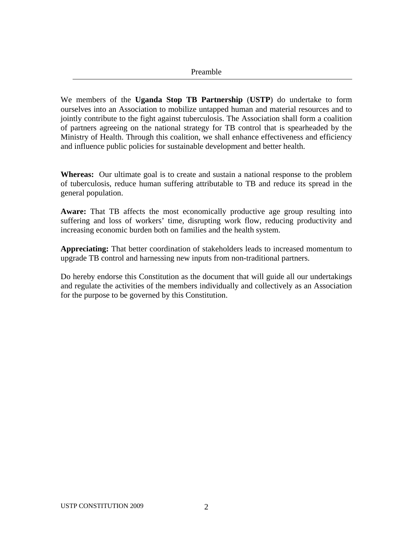We members of the **Uganda Stop TB Partnership** (**USTP**) do undertake to form ourselves into an Association to mobilize untapped human and material resources and to jointly contribute to the fight against tuberculosis. The Association shall form a coalition of partners agreeing on the national strategy for TB control that is spearheaded by the Ministry of Health. Through this coalition, we shall enhance effectiveness and efficiency and influence public policies for sustainable development and better health.

**Whereas:** Our ultimate goal is to create and sustain a national response to the problem of tuberculosis, reduce human suffering attributable to TB and reduce its spread in the general population.

**Aware:** That TB affects the most economically productive age group resulting into suffering and loss of workers' time, disrupting work flow, reducing productivity and increasing economic burden both on families and the health system.

**Appreciating:** That better coordination of stakeholders leads to increased momentum to upgrade TB control and harnessing new inputs from non-traditional partners.

Do hereby endorse this Constitution as the document that will guide all our undertakings and regulate the activities of the members individually and collectively as an Association for the purpose to be governed by this Constitution.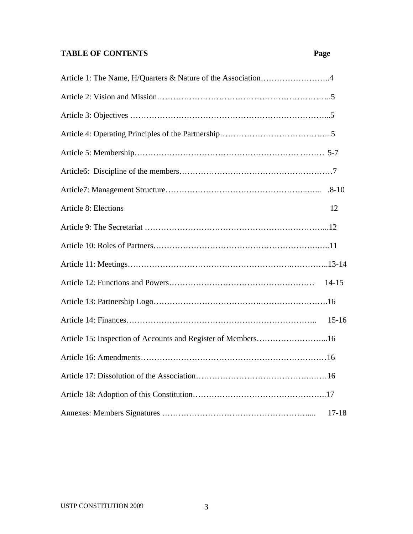# **TABLE OF CONTENTS** Page

| Article 8: Elections | 12        |
|----------------------|-----------|
|                      |           |
|                      |           |
|                      |           |
|                      | $14 - 15$ |
|                      |           |
|                      | $15 - 16$ |
|                      |           |
|                      |           |
|                      |           |
|                      |           |
|                      | $17 - 18$ |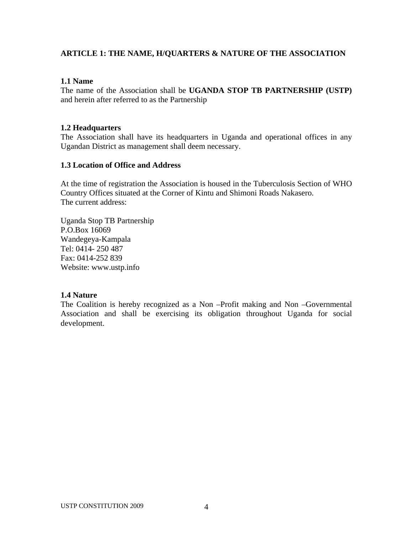## **ARTICLE 1: THE NAME, H/QUARTERS & NATURE OF THE ASSOCIATION**

#### **1.1 Name**

The name of the Association shall be **UGANDA STOP TB PARTNERSHIP (USTP)**  and herein after referred to as the Partnership

#### **1.2 Headquarters**

The Association shall have its headquarters in Uganda and operational offices in any Ugandan District as management shall deem necessary.

## **1.3 Location of Office and Address**

At the time of registration the Association is housed in the Tuberculosis Section of WHO Country Offices situated at the Corner of Kintu and Shimoni Roads Nakasero. The current address:

Uganda Stop TB Partnership P.O.Box 16069 Wandegeya-Kampala Tel: 0414- 250 487 Fax: 0414-252 839 Website: www.ustp.info

#### **1.4 Nature**

The Coalition is hereby recognized as a Non –Profit making and Non –Governmental Association and shall be exercising its obligation throughout Uganda for social development.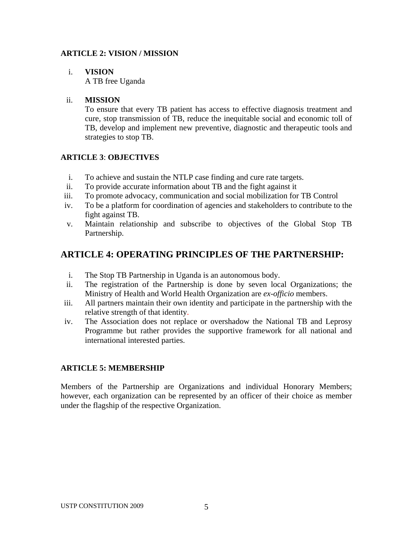## **ARTICLE 2: VISION / MISSION**

# i. **VISION**

A TB free Uganda

## ii. **MISSION**

To ensure that every TB patient has access to effective diagnosis treatment and cure, stop transmission of TB, reduce the inequitable social and economic toll of TB, develop and implement new preventive, diagnostic and therapeutic tools and strategies to stop TB.

## **ARTICLE 3**: **OBJECTIVES**

- i. To achieve and sustain the NTLP case finding and cure rate targets.
- ii. To provide accurate information about TB and the fight against it
- iii. To promote advocacy, communication and social mobilization for TB Control
- iv. To be a platform for coordination of agencies and stakeholders to contribute to the fight against TB.
- v. Maintain relationship and subscribe to objectives of the Global Stop TB Partnership.

# **ARTICLE 4: OPERATING PRINCIPLES OF THE PARTNERSHIP:**

- i. The Stop TB Partnership in Uganda is an autonomous body.
- ii. The registration of the Partnership is done by seven local Organizations; the Ministry of Health and World Health Organization are *ex-officio* members.
- iii. All partners maintain their own identity and participate in the partnership with the relative strength of that identity.
- iv. The Association does not replace or overshadow the National TB and Leprosy Programme but rather provides the supportive framework for all national and international interested parties.

## **ARTICLE 5: MEMBERSHIP**

Members of the Partnership are Organizations and individual Honorary Members; however, each organization can be represented by an officer of their choice as member under the flagship of the respective Organization.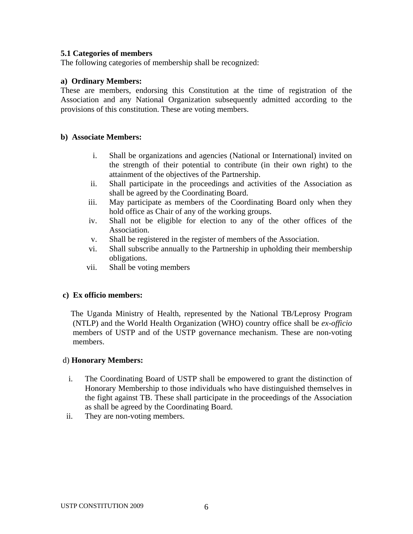#### **5.1 Categories of members**

The following categories of membership shall be recognized:

#### **a) Ordinary Members:**

These are members, endorsing this Constitution at the time of registration of the Association and any National Organization subsequently admitted according to the provisions of this constitution. These are voting members.

#### **b) Associate Members:**

- i. Shall be organizations and agencies (National or International) invited on the strength of their potential to contribute (in their own right) to the attainment of the objectives of the Partnership.
- ii. Shall participate in the proceedings and activities of the Association as shall be agreed by the Coordinating Board.
- iii. May participate as members of the Coordinating Board only when they hold office as Chair of any of the working groups.
- iv. Shall not be eligible for election to any of the other offices of the Association.
- v. Shall be registered in the register of members of the Association.
- vi. Shall subscribe annually to the Partnership in upholding their membership obligations.
- vii. Shall be voting members

#### **c) Ex officio members:**

 The Uganda Ministry of Health, represented by the National TB/Leprosy Program (NTLP) and the World Health Organization (WHO) country office shall be *ex-officio*  members of USTP and of the USTP governance mechanism. These are non-voting members.

#### d) **Honorary Members:**

- i. The Coordinating Board of USTP shall be empowered to grant the distinction of Honorary Membership to those individuals who have distinguished themselves in the fight against TB. These shall participate in the proceedings of the Association as shall be agreed by the Coordinating Board.
- ii. They are non-voting members.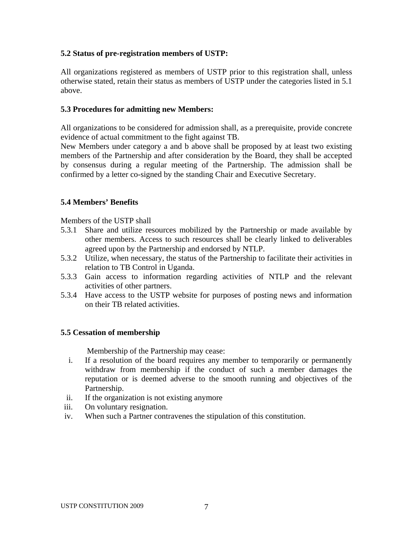## **5.2 Status of pre-registration members of USTP:**

All organizations registered as members of USTP prior to this registration shall, unless otherwise stated, retain their status as members of USTP under the categories listed in 5.1 above.

#### **5.3 Procedures for admitting new Members:**

All organizations to be considered for admission shall, as a prerequisite, provide concrete evidence of actual commitment to the fight against TB.

New Members under category a and b above shall be proposed by at least two existing members of the Partnership and after consideration by the Board, they shall be accepted by consensus during a regular meeting of the Partnership. The admission shall be confirmed by a letter co-signed by the standing Chair and Executive Secretary.

## **5.4 Members' Benefits**

Members of the USTP shall

- 5.3.1 Share and utilize resources mobilized by the Partnership or made available by other members. Access to such resources shall be clearly linked to deliverables agreed upon by the Partnership and endorsed by NTLP.
- 5.3.2 Utilize, when necessary, the status of the Partnership to facilitate their activities in relation to TB Control in Uganda.
- 5.3.3 Gain access to information regarding activities of NTLP and the relevant activities of other partners.
- 5.3.4 Have access to the USTP website for purposes of posting news and information on their TB related activities.

## **5.5 Cessation of membership**

Membership of the Partnership may cease:

- i. If a resolution of the board requires any member to temporarily or permanently withdraw from membership if the conduct of such a member damages the reputation or is deemed adverse to the smooth running and objectives of the Partnership.
- ii. If the organization is not existing anymore
- iii. On voluntary resignation.
- iv. When such a Partner contravenes the stipulation of this constitution.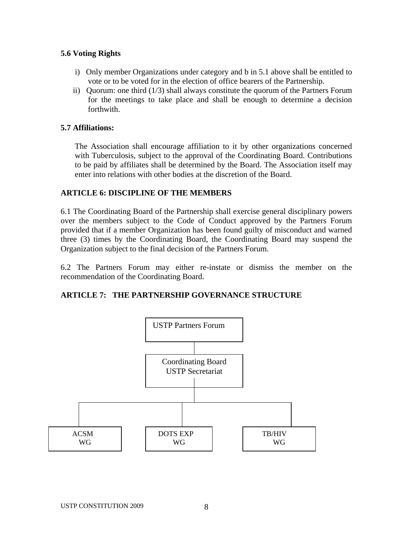## **5.6 Voting Rights**

- i) Only member Organizations under category and b in 5.1 above shall be entitled to vote or to be voted for in the election of office bearers of the Partnership.
- ii) Quorum: one third (1/3) shall always constitute the quorum of the Partners Forum for the meetings to take place and shall be enough to determine a decision forthwith.

## **5.7 Affiliations:**

The Association shall encourage affiliation to it by other organizations concerned with Tuberculosis, subject to the approval of the Coordinating Board. Contributions to be paid by affiliates shall be determined by the Board. The Association itself may enter into relations with other bodies at the discretion of the Board.

## **ARTICLE 6: DISCIPLINE OF THE MEMBERS**

6.1 The Coordinating Board of the Partnership shall exercise general disciplinary powers over the members subject to the Code of Conduct approved by the Partners Forum provided that if a member Organization has been found guilty of misconduct and warned three (3) times by the Coordinating Board, the Coordinating Board may suspend the Organization subject to the final decision of the Partners Forum.

6.2 The Partners Forum may either re-instate or dismiss the member on the recommendation of the Coordinating Board.

#### **ARTICLE 7: THE PARTNERSHIP GOVERNANCE STRUCTURE**

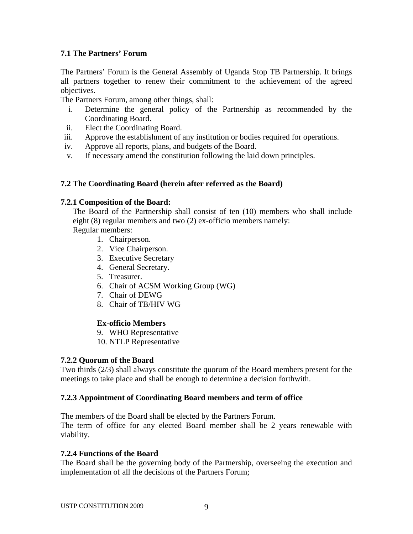## **7.1 The Partners' Forum**

The Partners' Forum is the General Assembly of Uganda Stop TB Partnership. It brings all partners together to renew their commitment to the achievement of the agreed objectives.

The Partners Forum, among other things, shall:

- i. Determine the general policy of the Partnership as recommended by the Coordinating Board.
- ii. Elect the Coordinating Board.
- iii. Approve the establishment of any institution or bodies required for operations.
- iv. Approve all reports, plans, and budgets of the Board.
- v. If necessary amend the constitution following the laid down principles.

## **7.2 The Coordinating Board (herein after referred as the Board)**

#### **7.2.1 Composition of the Board:**

The Board of the Partnership shall consist of ten (10) members who shall include eight (8) regular members and two (2) ex-officio members namely:

- Regular members:
	- 1. Chairperson.
	- 2. Vice Chairperson.
	- 3. Executive Secretary
	- 4. General Secretary.
	- 5. Treasurer.
	- 6. Chair of ACSM Working Group (WG)
	- 7. Chair of DEWG
	- 8. Chair of TB/HIV WG

#### **Ex-officio Members**

- 9. WHO Representative
- 10. NTLP Representative

#### **7.2.2 Quorum of the Board**

Two thirds (2/3) shall always constitute the quorum of the Board members present for the meetings to take place and shall be enough to determine a decision forthwith.

#### **7.2.3 Appointment of Coordinating Board members and term of office**

The members of the Board shall be elected by the Partners Forum.

The term of office for any elected Board member shall be 2 years renewable with viability.

#### **7.2.4 Functions of the Board**

The Board shall be the governing body of the Partnership, overseeing the execution and implementation of all the decisions of the Partners Forum;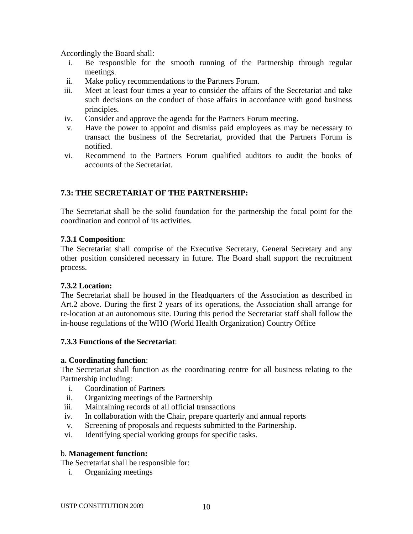Accordingly the Board shall:

- i. Be responsible for the smooth running of the Partnership through regular meetings.
- ii. Make policy recommendations to the Partners Forum.
- iii. Meet at least four times a year to consider the affairs of the Secretariat and take such decisions on the conduct of those affairs in accordance with good business principles.
- iv. Consider and approve the agenda for the Partners Forum meeting.
- v. Have the power to appoint and dismiss paid employees as may be necessary to transact the business of the Secretariat, provided that the Partners Forum is notified.
- vi. Recommend to the Partners Forum qualified auditors to audit the books of accounts of the Secretariat.

## **7.3: THE SECRETARIAT OF THE PARTNERSHIP:**

The Secretariat shall be the solid foundation for the partnership the focal point for the coordination and control of its activities.

## **7.3.1 Composition**:

The Secretariat shall comprise of the Executive Secretary, General Secretary and any other position considered necessary in future. The Board shall support the recruitment process.

#### **7.3.2 Location:**

The Secretariat shall be housed in the Headquarters of the Association as described in Art.2 above. During the first 2 years of its operations, the Association shall arrange for re-location at an autonomous site. During this period the Secretariat staff shall follow the in-house regulations of the WHO (World Health Organization) Country Office

#### **7.3.3 Functions of the Secretariat**:

#### **a. Coordinating function**:

The Secretariat shall function as the coordinating centre for all business relating to the Partnership including:

- i. Coordination of Partners
- ii. Organizing meetings of the Partnership
- iii. Maintaining records of all official transactions
- iv. In collaboration with the Chair, prepare quarterly and annual reports
- v. Screening of proposals and requests submitted to the Partnership.
- vi. Identifying special working groups for specific tasks.

#### b. **Management function:**

The Secretariat shall be responsible for:

i. Organizing meetings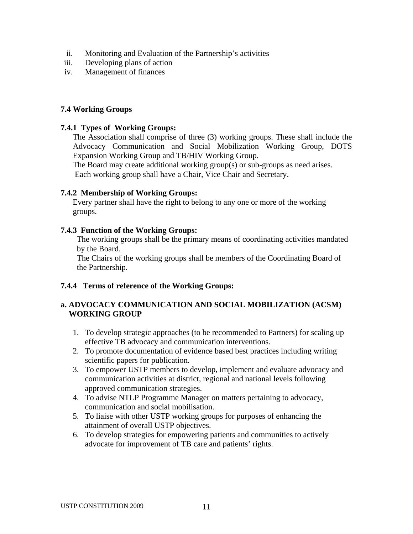- ii. Monitoring and Evaluation of the Partnership's activities
- iii. Developing plans of action
- iv. Management of finances

## **7.4 Working Groups**

#### **7.4.1 Types of Working Groups:**

The Association shall comprise of three (3) working groups. These shall include the Advocacy Communication and Social Mobilization Working Group, DOTS Expansion Working Group and TB/HIV Working Group.

 The Board may create additional working group(s) or sub-groups as need arises. Each working group shall have a Chair, Vice Chair and Secretary.

## **7.4.2 Membership of Working Groups:**

 Every partner shall have the right to belong to any one or more of the working groups.

## **7.4.3 Function of the Working Groups:**

 The working groups shall be the primary means of coordinating activities mandated by the Board.

 The Chairs of the working groups shall be members of the Coordinating Board of the Partnership.

## **7.4.4 Terms of reference of the Working Groups:**

## **a. ADVOCACY COMMUNICATION AND SOCIAL MOBILIZATION (ACSM) WORKING GROUP**

- 1. To develop strategic approaches (to be recommended to Partners) for scaling up effective TB advocacy and communication interventions.
- 2. To promote documentation of evidence based best practices including writing scientific papers for publication.
- 3. To empower USTP members to develop, implement and evaluate advocacy and communication activities at district, regional and national levels following approved communication strategies.
- 4. To advise NTLP Programme Manager on matters pertaining to advocacy, communication and social mobilisation.
- 5. To liaise with other USTP working groups for purposes of enhancing the attainment of overall USTP objectives.
- 6. To develop strategies for empowering patients and communities to actively advocate for improvement of TB care and patients' rights.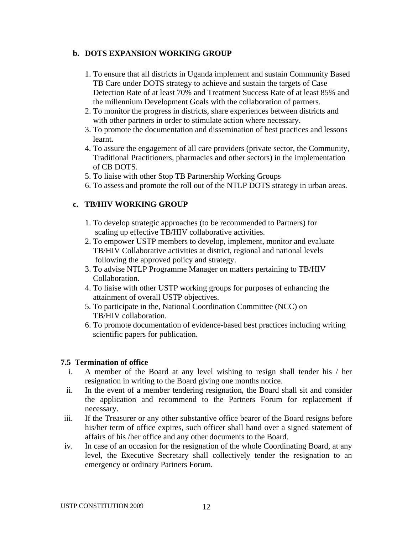## **b. DOTS EXPANSION WORKING GROUP**

- 1. To ensure that all districts in Uganda implement and sustain Community Based TB Care under DOTS strategy to achieve and sustain the targets of Case Detection Rate of at least 70% and Treatment Success Rate of at least 85% and the millennium Development Goals with the collaboration of partners.
- 2. To monitor the progress in districts, share experiences between districts and with other partners in order to stimulate action where necessary.
- 3. To promote the documentation and dissemination of best practices and lessons learnt.
- 4. To assure the engagement of all care providers (private sector, the Community, Traditional Practitioners, pharmacies and other sectors) in the implementation of CB DOTS.
- 5. To liaise with other Stop TB Partnership Working Groups
- 6. To assess and promote the roll out of the NTLP DOTS strategy in urban areas.

## **c. TB/HIV WORKING GROUP**

- 1. To develop strategic approaches (to be recommended to Partners) for scaling up effective TB/HIV collaborative activities.
- 2. To empower USTP members to develop, implement, monitor and evaluate TB/HIV Collaborative activities at district, regional and national levels following the approved policy and strategy.
- 3. To advise NTLP Programme Manager on matters pertaining to TB/HIV Collaboration.
- 4. To liaise with other USTP working groups for purposes of enhancing the attainment of overall USTP objectives.
- 5. To participate in the, National Coordination Committee (NCC) on TB/HIV collaboration.
- 6. To promote documentation of evidence-based best practices including writing scientific papers for publication.

#### **7.5 Termination of office**

- i. A member of the Board at any level wishing to resign shall tender his / her resignation in writing to the Board giving one months notice.
- ii. In the event of a member tendering resignation, the Board shall sit and consider the application and recommend to the Partners Forum for replacement if necessary.
- iii. If the Treasurer or any other substantive office bearer of the Board resigns before his/her term of office expires, such officer shall hand over a signed statement of affairs of his /her office and any other documents to the Board.
- iv. In case of an occasion for the resignation of the whole Coordinating Board, at any level, the Executive Secretary shall collectively tender the resignation to an emergency or ordinary Partners Forum.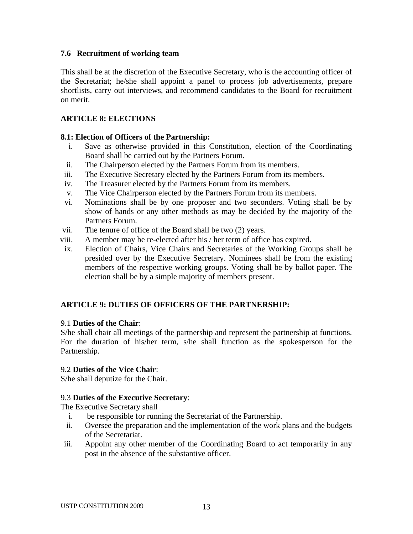## **7.6 Recruitment of working team**

This shall be at the discretion of the Executive Secretary, who is the accounting officer of the Secretariat; he/she shall appoint a panel to process job advertisements, prepare shortlists, carry out interviews, and recommend candidates to the Board for recruitment on merit.

## **ARTICLE 8: ELECTIONS**

## **8.1: Election of Officers of the Partnership:**

- i. Save as otherwise provided in this Constitution, election of the Coordinating Board shall be carried out by the Partners Forum.
- ii. The Chairperson elected by the Partners Forum from its members.
- iii. The Executive Secretary elected by the Partners Forum from its members.
- iv. The Treasurer elected by the Partners Forum from its members.
- v. The Vice Chairperson elected by the Partners Forum from its members.
- vi. Nominations shall be by one proposer and two seconders. Voting shall be by show of hands or any other methods as may be decided by the majority of the Partners Forum.
- vii. The tenure of office of the Board shall be two (2) years.
- viii. A member may be re-elected after his / her term of office has expired.
- ix. Election of Chairs, Vice Chairs and Secretaries of the Working Groups shall be presided over by the Executive Secretary. Nominees shall be from the existing members of the respective working groups. Voting shall be by ballot paper. The election shall be by a simple majority of members present.

## **ARTICLE 9: DUTIES OF OFFICERS OF THE PARTNERSHIP:**

#### 9.1 **Duties of the Chair**:

S/he shall chair all meetings of the partnership and represent the partnership at functions. For the duration of his/her term, s/he shall function as the spokesperson for the Partnership.

#### 9.2 **Duties of the Vice Chair**:

S/he shall deputize for the Chair.

#### 9.3 **Duties of the Executive Secretary**:

The Executive Secretary shall

- i. be responsible for running the Secretariat of the Partnership.
- ii. Oversee the preparation and the implementation of the work plans and the budgets of the Secretariat.
- iii. Appoint any other member of the Coordinating Board to act temporarily in any post in the absence of the substantive officer.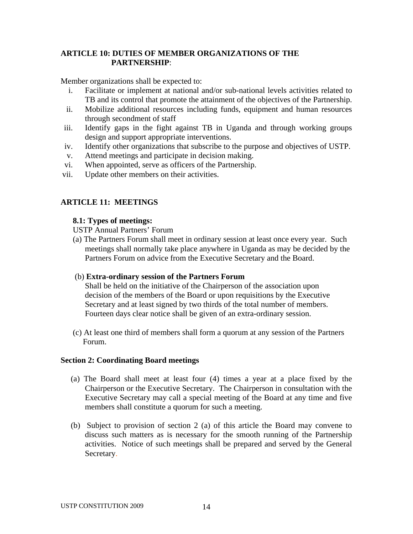## **ARTICLE 10: DUTIES OF MEMBER ORGANIZATIONS OF THE PARTNERSHIP**:

Member organizations shall be expected to:

- i. Facilitate or implement at national and/or sub-national levels activities related to TB and its control that promote the attainment of the objectives of the Partnership.
- ii. Mobilize additional resources including funds, equipment and human resources through secondment of staff
- iii. Identify gaps in the fight against TB in Uganda and through working groups design and support appropriate interventions.
- iv. Identify other organizations that subscribe to the purpose and objectives of USTP.
- v. Attend meetings and participate in decision making.
- vi. When appointed, serve as officers of the Partnership.
- vii. Update other members on their activities.

## **ARTICLE 11: MEETINGS**

#### **8.1: Types of meetings:**

USTP Annual Partners' Forum

(a) The Partners Forum shall meet in ordinary session at least once every year. Such meetings shall normally take place anywhere in Uganda as may be decided by the Partners Forum on advice from the Executive Secretary and the Board.

#### (b) **Extra-ordinary session of the Partners Forum**

 Shall be held on the initiative of the Chairperson of the association upon decision of the members of the Board or upon requisitions by the Executive Secretary and at least signed by two thirds of the total number of members. Fourteen days clear notice shall be given of an extra-ordinary session.

 (c) At least one third of members shall form a quorum at any session of the Partners Forum.

#### **Section 2: Coordinating Board meetings**

- (a) The Board shall meet at least four (4) times a year at a place fixed by the Chairperson or the Executive Secretary. The Chairperson in consultation with the Executive Secretary may call a special meeting of the Board at any time and five members shall constitute a quorum for such a meeting.
- (b) Subject to provision of section 2 (a) of this article the Board may convene to discuss such matters as is necessary for the smooth running of the Partnership activities. Notice of such meetings shall be prepared and served by the General Secretary.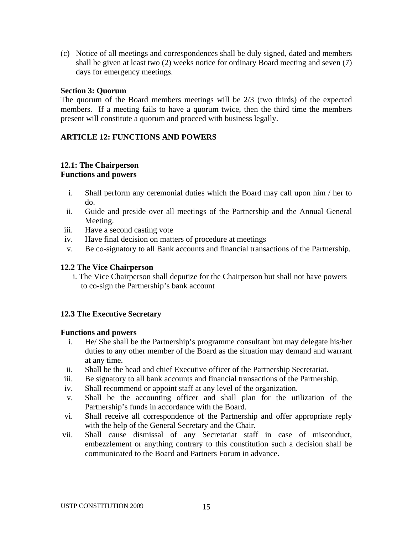(c) Notice of all meetings and correspondences shall be duly signed, dated and members shall be given at least two (2) weeks notice for ordinary Board meeting and seven (7) days for emergency meetings.

#### **Section 3: Quorum**

The quorum of the Board members meetings will be 2/3 (two thirds) of the expected members. If a meeting fails to have a quorum twice, then the third time the members present will constitute a quorum and proceed with business legally.

## **ARTICLE 12: FUNCTIONS AND POWERS**

#### **12.1: The Chairperson Functions and powers**

- i. Shall perform any ceremonial duties which the Board may call upon him / her to do.
- ii. Guide and preside over all meetings of the Partnership and the Annual General Meeting.
- iii. Have a second casting vote
- iv. Have final decision on matters of procedure at meetings
- v. Be co-signatory to all Bank accounts and financial transactions of the Partnership.

## **12.2 The Vice Chairperson**

i. The Vice Chairperson shall deputize for the Chairperson but shall not have powers to co-sign the Partnership's bank account

## **12.3 The Executive Secretary**

#### **Functions and powers**

- i. He/ She shall be the Partnership's programme consultant but may delegate his/her duties to any other member of the Board as the situation may demand and warrant at any time.
- ii. Shall be the head and chief Executive officer of the Partnership Secretariat.
- iii. Be signatory to all bank accounts and financial transactions of the Partnership.
- iv. Shall recommend or appoint staff at any level of the organization.
- v. Shall be the accounting officer and shall plan for the utilization of the Partnership's funds in accordance with the Board.
- vi. Shall receive all correspondence of the Partnership and offer appropriate reply with the help of the General Secretary and the Chair.
- vii. Shall cause dismissal of any Secretariat staff in case of misconduct, embezzlement or anything contrary to this constitution such a decision shall be communicated to the Board and Partners Forum in advance.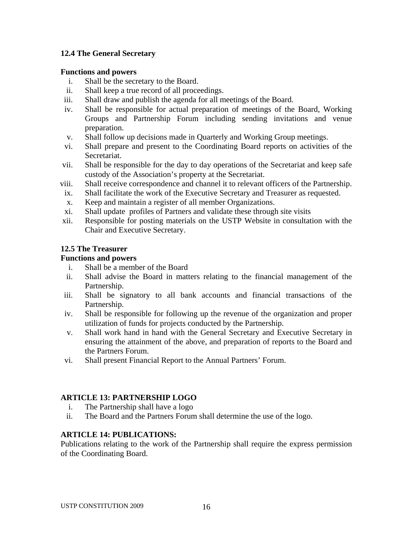## **12.4 The General Secretary**

#### **Functions and powers**

- i. Shall be the secretary to the Board.
- ii. Shall keep a true record of all proceedings.
- iii. Shall draw and publish the agenda for all meetings of the Board.
- iv. Shall be responsible for actual preparation of meetings of the Board, Working Groups and Partnership Forum including sending invitations and venue preparation.
- v. Shall follow up decisions made in Quarterly and Working Group meetings.
- vi. Shall prepare and present to the Coordinating Board reports on activities of the Secretariat.
- vii. Shall be responsible for the day to day operations of the Secretariat and keep safe custody of the Association's property at the Secretariat.
- viii. Shall receive correspondence and channel it to relevant officers of the Partnership.
- ix. Shall facilitate the work of the Executive Secretary and Treasurer as requested.
- x. Keep and maintain a register of all member Organizations.
- xi. Shall update profiles of Partners and validate these through site visits
- xii. Responsible for posting materials on the USTP Website in consultation with the Chair and Executive Secretary.

#### **12.5 The Treasurer**

#### **Functions and powers**

- i. Shall be a member of the Board
- ii. Shall advise the Board in matters relating to the financial management of the Partnership.
- iii. Shall be signatory to all bank accounts and financial transactions of the Partnership.
- iv. Shall be responsible for following up the revenue of the organization and proper utilization of funds for projects conducted by the Partnership.
- v. Shall work hand in hand with the General Secretary and Executive Secretary in ensuring the attainment of the above, and preparation of reports to the Board and the Partners Forum.
- vi. Shall present Financial Report to the Annual Partners' Forum.

#### **ARTICLE 13: PARTNERSHIP LOGO**

- i. The Partnership shall have a logo
- ii. The Board and the Partners Forum shall determine the use of the logo.

#### **ARTICLE 14: PUBLICATIONS:**

Publications relating to the work of the Partnership shall require the express permission of the Coordinating Board.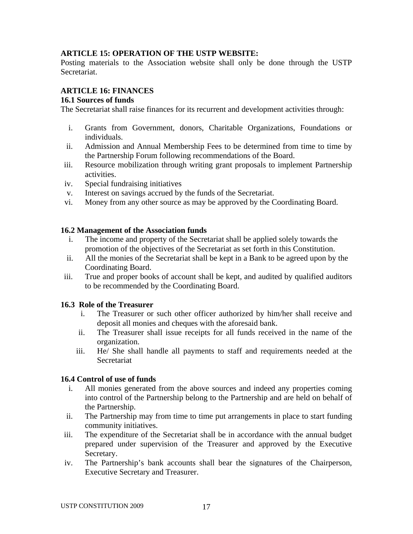## **ARTICLE 15: OPERATION OF THE USTP WEBSITE:**

Posting materials to the Association website shall only be done through the USTP Secretariat.

## **ARTICLE 16: FINANCES**

## **16.1 Sources of funds**

The Secretariat shall raise finances for its recurrent and development activities through:

- i. Grants from Government, donors, Charitable Organizations, Foundations or individuals.
- ii. Admission and Annual Membership Fees to be determined from time to time by the Partnership Forum following recommendations of the Board.
- iii. Resource mobilization through writing grant proposals to implement Partnership activities.
- iv. Special fundraising initiatives
- v. Interest on savings accrued by the funds of the Secretariat.
- vi. Money from any other source as may be approved by the Coordinating Board.

## **16.2 Management of the Association funds**

- i. The income and property of the Secretariat shall be applied solely towards the promotion of the objectives of the Secretariat as set forth in this Constitution.
- ii. All the monies of the Secretariat shall be kept in a Bank to be agreed upon by the Coordinating Board.
- iii. True and proper books of account shall be kept, and audited by qualified auditors to be recommended by the Coordinating Board.

## **16.3 Role of the Treasurer**

- i. The Treasurer or such other officer authorized by him/her shall receive and deposit all monies and cheques with the aforesaid bank.
- ii. The Treasurer shall issue receipts for all funds received in the name of the organization.
- iii. He/ She shall handle all payments to staff and requirements needed at the Secretariat

## **16.4 Control of use of funds**

- i. All monies generated from the above sources and indeed any properties coming into control of the Partnership belong to the Partnership and are held on behalf of the Partnership.
- ii. The Partnership may from time to time put arrangements in place to start funding community initiatives.
- iii. The expenditure of the Secretariat shall be in accordance with the annual budget prepared under supervision of the Treasurer and approved by the Executive Secretary.
- iv. The Partnership's bank accounts shall bear the signatures of the Chairperson, Executive Secretary and Treasurer.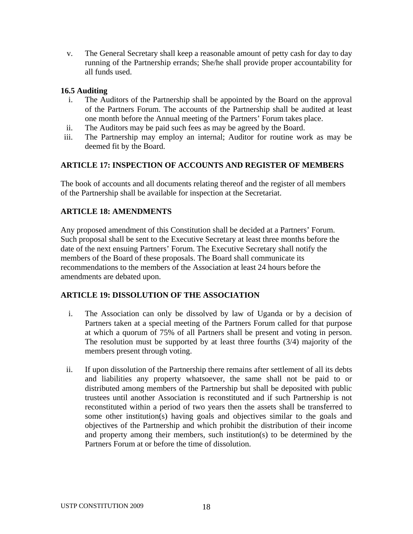v. The General Secretary shall keep a reasonable amount of petty cash for day to day running of the Partnership errands; She/he shall provide proper accountability for all funds used.

## **16.5 Auditing**

- i. The Auditors of the Partnership shall be appointed by the Board on the approval of the Partners Forum. The accounts of the Partnership shall be audited at least one month before the Annual meeting of the Partners' Forum takes place.
- ii. The Auditors may be paid such fees as may be agreed by the Board.
- iii. The Partnership may employ an internal; Auditor for routine work as may be deemed fit by the Board.

## **ARTICLE 17: INSPECTION OF ACCOUNTS AND REGISTER OF MEMBERS**

The book of accounts and all documents relating thereof and the register of all members of the Partnership shall be available for inspection at the Secretariat.

## **ARTICLE 18: AMENDMENTS**

Any proposed amendment of this Constitution shall be decided at a Partners' Forum. Such proposal shall be sent to the Executive Secretary at least three months before the date of the next ensuing Partners' Forum. The Executive Secretary shall notify the members of the Board of these proposals. The Board shall communicate its recommendations to the members of the Association at least 24 hours before the amendments are debated upon.

## **ARTICLE 19: DISSOLUTION OF THE ASSOCIATION**

- i. The Association can only be dissolved by law of Uganda or by a decision of Partners taken at a special meeting of the Partners Forum called for that purpose at which a quorum of 75% of all Partners shall be present and voting in person. The resolution must be supported by at least three fourths (3/4) majority of the members present through voting.
- ii. If upon dissolution of the Partnership there remains after settlement of all its debts and liabilities any property whatsoever, the same shall not be paid to or distributed among members of the Partnership but shall be deposited with public trustees until another Association is reconstituted and if such Partnership is not reconstituted within a period of two years then the assets shall be transferred to some other institution(s) having goals and objectives similar to the goals and objectives of the Partnership and which prohibit the distribution of their income and property among their members, such institution(s) to be determined by the Partners Forum at or before the time of dissolution.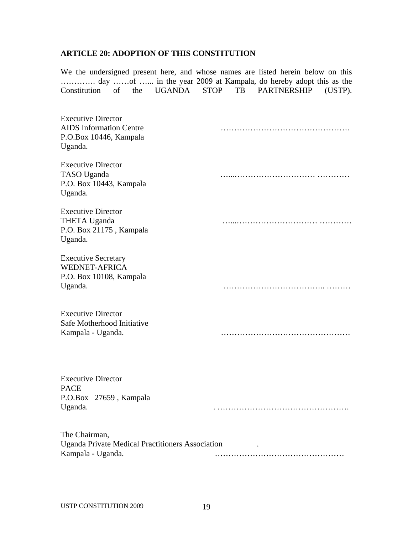# **ARTICLE 20: ADOPTION OF THIS CONSTITUTION**

We the undersigned present here, and whose names are listed herein below on this …………. day ……of …... in the year 2009 at Kampala, do hereby adopt this as the Constitution of the UGANDA STOP TB PARTNERSHIP (USTP).

| <b>Executive Director</b><br><b>AIDS</b> Information Centre<br>P.O.Box 10446, Kampala<br>Uganda. |  |
|--------------------------------------------------------------------------------------------------|--|
| <b>Executive Director</b><br>TASO Uganda<br>P.O. Box 10443, Kampala<br>Uganda.                   |  |
| <b>Executive Director</b><br><b>THETA Uganda</b><br>P.O. Box 21175, Kampala<br>Uganda.           |  |
| <b>Executive Secretary</b><br><b>WEDNET-AFRICA</b><br>P.O. Box 10108, Kampala<br>Uganda.         |  |
| <b>Executive Director</b><br>Safe Motherhood Initiative<br>Kampala - Uganda.                     |  |
| <b>Executive Director</b><br><b>PACE</b><br>P.O.Box 27659, Kampala<br>Uganda.                    |  |
| The Chairman,<br>Uganda Private Medical Practitioners Association<br>Kampala - Uganda.           |  |